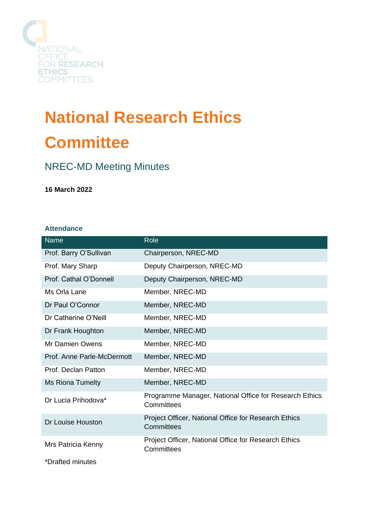

# **National Research Ethics Committee**

## NREC-MD Meeting Minutes

**16 March 2022**

## **Attendance**

| <b>Name</b>                | Role                                                                 |
|----------------------------|----------------------------------------------------------------------|
| Prof. Barry O'Sullivan     | Chairperson, NREC-MD                                                 |
| Prof. Mary Sharp           | Deputy Chairperson, NREC-MD                                          |
| Prof. Cathal O'Donnell     | Deputy Chairperson, NREC-MD                                          |
| Ms Orla Lane               | Member, NREC-MD                                                      |
| Dr Paul O'Connor           | Member, NREC-MD                                                      |
| Dr Catherine O'Neill       | Member, NREC-MD                                                      |
| Dr Frank Houghton          | Member, NREC-MD                                                      |
| <b>Mr Damien Owens</b>     | Member, NREC-MD                                                      |
| Prof. Anne Parle-McDermott | Member, NREC-MD                                                      |
| Prof. Declan Patton        | Member, NREC-MD                                                      |
| Ms Riona Tumelty           | Member, NREC-MD                                                      |
| Dr Lucia Prihodova*        | Programme Manager, National Office for Research Ethics<br>Committees |
| Dr Louise Houston          | Project Officer, National Office for Research Ethics<br>Committees   |
| Mrs Patricia Kenny         | Project Officer, National Office for Research Ethics<br>Committees   |
| *Drafted minutes           |                                                                      |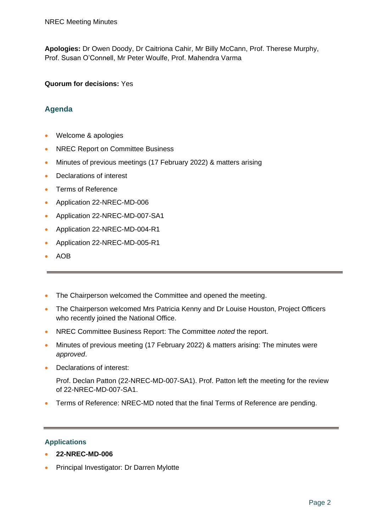**Apologies:** Dr Owen Doody, Dr Caitriona Cahir, Mr Billy McCann, Prof. Therese Murphy, Prof. Susan O'Connell, Mr Peter Woulfe, Prof. Mahendra Varma

## **Quorum for decisions:** Yes

## **Agenda**

- Welcome & apologies
- NREC Report on Committee Business
- Minutes of previous meetings (17 February 2022) & matters arising
- Declarations of interest
- Terms of Reference
- Application 22-NREC-MD-006
- Application 22-NREC-MD-007-SA1
- Application 22-NREC-MD-004-R1
- Application 22-NREC-MD-005-R1
- AOB
- The Chairperson welcomed the Committee and opened the meeting.
- The Chairperson welcomed Mrs Patricia Kenny and Dr Louise Houston, Project Officers who recently joined the National Office.
- NREC Committee Business Report: The Committee *noted* the report.
- Minutes of previous meeting (17 February 2022) & matters arising: The minutes were *approved*.
- Declarations of interest:

Prof. Declan Patton (22-NREC-MD-007-SA1). Prof. Patton left the meeting for the review of 22-NREC-MD-007-SA1.

• Terms of Reference: NREC-MD noted that the final Terms of Reference are pending.

## **Applications**

- **22-NREC-MD-006**
- Principal Investigator: Dr Darren Mylotte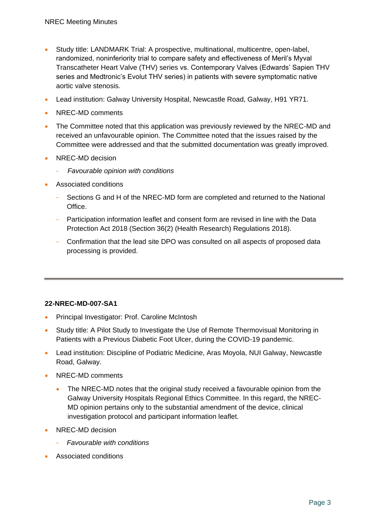- Study title: LANDMARK Trial: A prospective, multinational, multicentre, open-label, randomized, noninferiority trial to compare safety and effectiveness of Meril's Myval Transcatheter Heart Valve (THV) series vs. Contemporary Valves (Edwards' Sapien THV series and Medtronic's Evolut THV series) in patients with severe symptomatic native aortic valve stenosis.
- Lead institution: Galway University Hospital, Newcastle Road, Galway, H91 YR71.
- NREC-MD comments
- The Committee noted that this application was previously reviewed by the NREC-MD and received an unfavourable opinion. The Committee noted that the issues raised by the Committee were addressed and that the submitted documentation was greatly improved.
- NREC-MD decision
	- *Favourable opinion with conditions*
- Associated conditions
	- Sections G and H of the NREC-MD form are completed and returned to the National Office.
	- Participation information leaflet and consent form are revised in line with the Data Protection Act 2018 (Section 36(2) (Health Research) Regulations 2018).
	- Confirmation that the lead site DPO was consulted on all aspects of proposed data processing is provided.

## **22-NREC-MD-007-SA1**

- Principal Investigator: Prof. Caroline McIntosh
- Study title: A Pilot Study to Investigate the Use of Remote Thermovisual Monitoring in Patients with a Previous Diabetic Foot Ulcer, during the COVID-19 pandemic.
- Lead institution: Discipline of Podiatric Medicine, Aras Moyola, NUI Galway, Newcastle Road, Galway.
- NREC-MD comments
	- The NREC-MD notes that the original study received a favourable opinion from the Galway University Hospitals Regional Ethics Committee. In this regard, the NREC-MD opinion pertains only to the substantial amendment of the device, clinical investigation protocol and participant information leaflet.
- NREC-MD decision
	- *Favourable with conditions*
- Associated conditions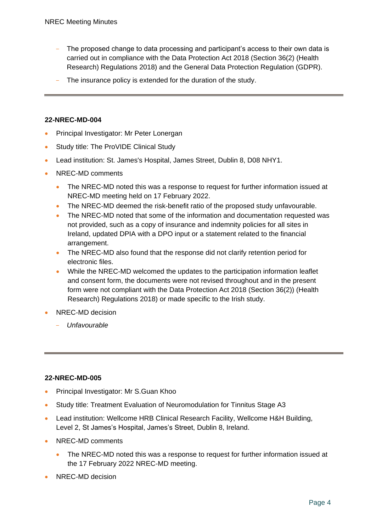- The proposed change to data processing and participant's access to their own data is carried out in compliance with the Data Protection Act 2018 (Section 36(2) (Health Research) Regulations 2018) and the General Data Protection Regulation (GDPR).
- The insurance policy is extended for the duration of the study.

## **22-NREC-MD-004**

- Principal Investigator: Mr Peter Lonergan
- Study title: The ProVIDE Clinical Study
- Lead institution: St. James's Hospital, James Street, Dublin 8, D08 NHY1.
- NREC-MD comments
	- The NREC-MD noted this was a response to request for further information issued at NREC-MD meeting held on 17 February 2022.
	- The NREC-MD deemed the risk-benefit ratio of the proposed study unfavourable.
	- The NREC-MD noted that some of the information and documentation requested was not provided, such as a copy of insurance and indemnity policies for all sites in Ireland, updated DPIA with a DPO input or a statement related to the financial arrangement.
	- The NREC-MD also found that the response did not clarify retention period for electronic files.
	- While the NREC-MD welcomed the updates to the participation information leaflet and consent form, the documents were not revised throughout and in the present form were not compliant with the Data Protection Act 2018 (Section 36(2)) (Health Research) Regulations 2018) or made specific to the Irish study.
- NREC-MD decision
	- *Unfavourable*

## **22-NREC-MD-005**

- Principal Investigator: Mr S.Guan Khoo
- Study title: Treatment Evaluation of Neuromodulation for Tinnitus Stage A3
- Lead institution: Wellcome HRB Clinical Research Facility, Wellcome H&H Building, Level 2, St James's Hospital, James's Street, Dublin 8, Ireland.
- NREC-MD comments
	- The NREC-MD noted this was a response to request for further information issued at the 17 February 2022 NREC-MD meeting.
- NREC-MD decision